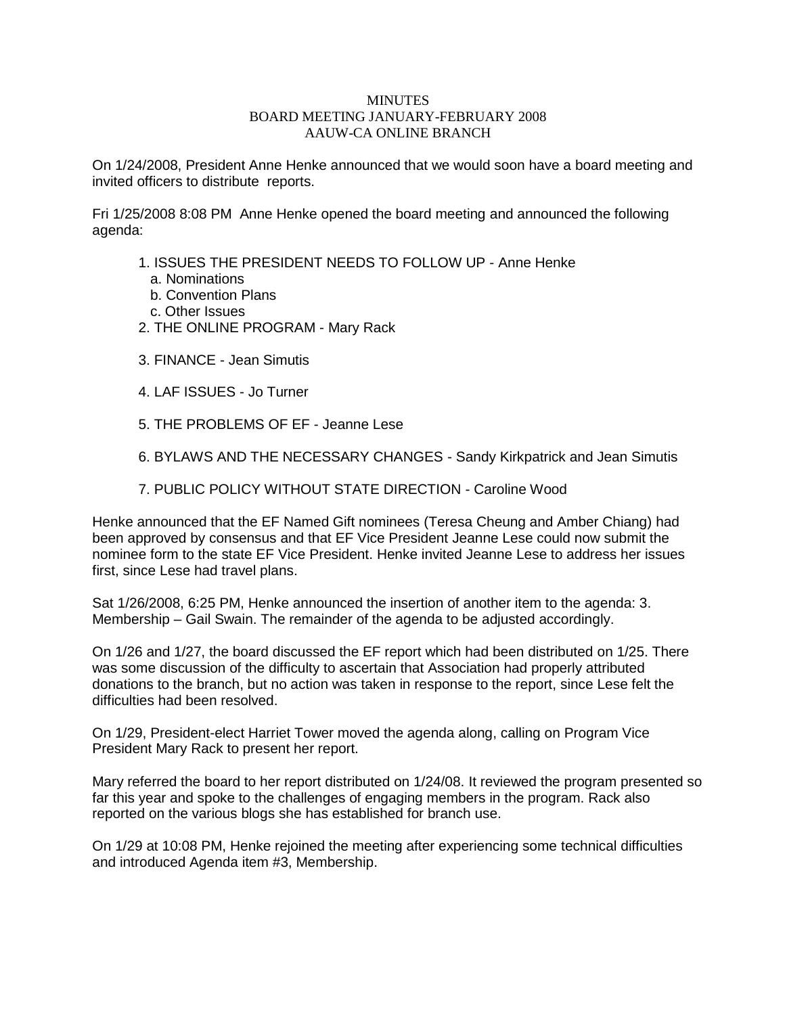## **MINUTES** BOARD MEETING JANUARY-FEBRUARY 2008 AAUW-CA ONLINE BRANCH

On 1/24/2008, President Anne Henke announced that we would soon have a board meeting and invited officers to distribute reports.

Fri 1/25/2008 8:08 PM Anne Henke opened the board meeting and announced the following agenda:

- 1. ISSUES THE PRESIDENT NEEDS TO FOLLOW UP Anne Henke
	- a. Nominations
	- b. Convention Plans
	- c. Other Issues
- 2. THE ONLINE PROGRAM Mary Rack
- 3. FINANCE Jean Simutis
- 4. LAF ISSUES Jo Turner
- 5. THE PROBLEMS OF EF Jeanne Lese
- 6. BYLAWS AND THE NECESSARY CHANGES Sandy Kirkpatrick and Jean Simutis
- 7. PUBLIC POLICY WITHOUT STATE DIRECTION Caroline Wood

Henke announced that the EF Named Gift nominees (Teresa Cheung and Amber Chiang) had been approved by consensus and that EF Vice President Jeanne Lese could now submit the nominee form to the state EF Vice President. Henke invited Jeanne Lese to address her issues first, since Lese had travel plans.

Sat 1/26/2008, 6:25 PM, Henke announced the insertion of another item to the agenda: 3. Membership – Gail Swain. The remainder of the agenda to be adjusted accordingly.

On 1/26 and 1/27, the board discussed the EF report which had been distributed on 1/25. There was some discussion of the difficulty to ascertain that Association had properly attributed donations to the branch, but no action was taken in response to the report, since Lese felt the difficulties had been resolved.

On 1/29, President-elect Harriet Tower moved the agenda along, calling on Program Vice President Mary Rack to present her report.

Mary referred the board to her report distributed on 1/24/08. It reviewed the program presented so far this year and spoke to the challenges of engaging members in the program. Rack also reported on the various blogs she has established for branch use.

On 1/29 at 10:08 PM, Henke rejoined the meeting after experiencing some technical difficulties and introduced Agenda item #3, Membership.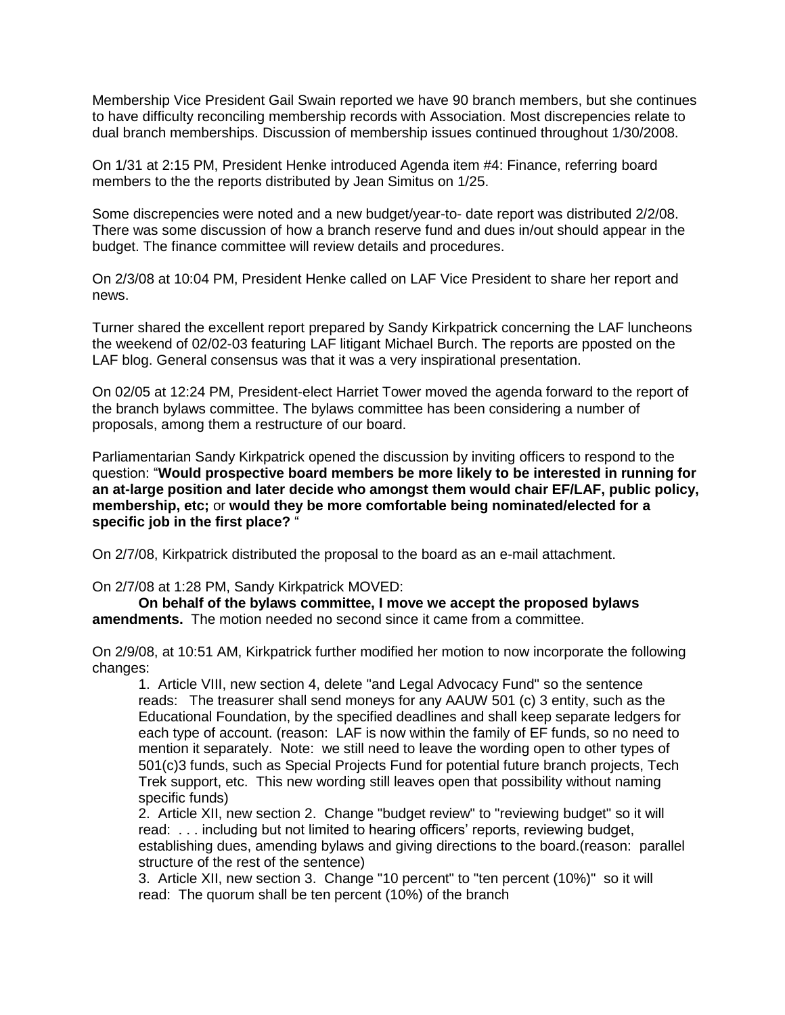Membership Vice President Gail Swain reported we have 90 branch members, but she continues to have difficulty reconciling membership records with Association. Most discrepencies relate to dual branch memberships. Discussion of membership issues continued throughout 1/30/2008.

On 1/31 at 2:15 PM, President Henke introduced Agenda item #4: Finance, referring board members to the the reports distributed by Jean Simitus on 1/25.

Some discrepencies were noted and a new budget/year-to- date report was distributed 2/2/08. There was some discussion of how a branch reserve fund and dues in/out should appear in the budget. The finance committee will review details and procedures.

On 2/3/08 at 10:04 PM, President Henke called on LAF Vice President to share her report and news.

Turner shared the excellent report prepared by Sandy Kirkpatrick concerning the LAF luncheons the weekend of 02/02-03 featuring LAF litigant Michael Burch. The reports are pposted on the LAF blog. General consensus was that it was a very inspirational presentation.

On 02/05 at 12:24 PM, President-elect Harriet Tower moved the agenda forward to the report of the branch bylaws committee. The bylaws committee has been considering a number of proposals, among them a restructure of our board.

Parliamentarian Sandy Kirkpatrick opened the discussion by inviting officers to respond to the question: "**Would prospective board members be more likely to be interested in running for an at-large position and later decide who amongst them would chair EF/LAF, public policy, membership, etc;** or **would they be more comfortable being nominated/elected for a specific job in the first place?** "

On 2/7/08, Kirkpatrick distributed the proposal to the board as an e-mail attachment.

On 2/7/08 at 1:28 PM, Sandy Kirkpatrick MOVED:

**On behalf of the bylaws committee, I move we accept the proposed bylaws amendments.** The motion needed no second since it came from a committee.

On 2/9/08, at 10:51 AM, Kirkpatrick further modified her motion to now incorporate the following changes:

1. Article VIII, new section 4, delete "and Legal Advocacy Fund" so the sentence reads: The treasurer shall send moneys for any AAUW 501 (c) 3 entity, such as the Educational Foundation, by the specified deadlines and shall keep separate ledgers for each type of account. (reason: LAF is now within the family of EF funds, so no need to mention it separately. Note: we still need to leave the wording open to other types of 501(c)3 funds, such as Special Projects Fund for potential future branch projects, Tech Trek support, etc. This new wording still leaves open that possibility without naming specific funds)

2. Article XII, new section 2. Change "budget review" to "reviewing budget" so it will read: . . . including but not limited to hearing officers' reports, reviewing budget, establishing dues, amending bylaws and giving directions to the board.(reason: parallel structure of the rest of the sentence)

3. Article XII, new section 3. Change "10 percent" to "ten percent (10%)" so it will read: The quorum shall be ten percent (10%) of the branch